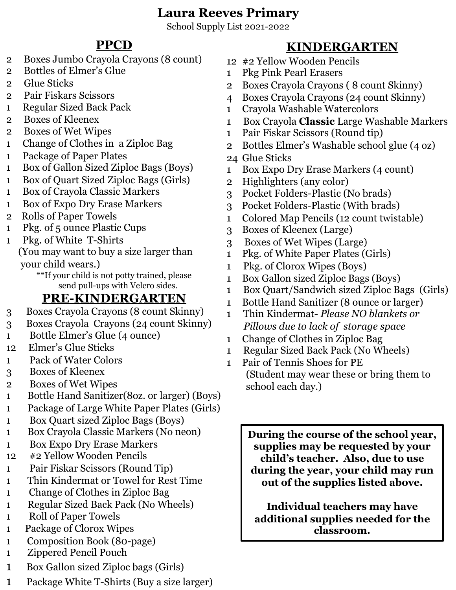# **Laura Reeves Primary**

School Supply List 2021-2022

# **PPCD**

- 2 Boxes Jumbo Crayola Crayons (8 count)
- 2 Bottles of Elmer's Glue
- 2 Glue Sticks
- 2 Pair Fiskars Scissors
- 1 Regular Sized Back Pack
- 2 Boxes of Kleenex
- 2 Boxes of Wet Wipes
- 1 Change of Clothes in a Ziploc Bag
- 1 Package of Paper Plates
- 1 Box of Gallon Sized Ziploc Bags (Boys)
- 1 Box of Quart Sized Ziploc Bags (Girls)
- 1 Box of Crayola Classic Markers
- 1 Box of Expo Dry Erase Markers
- 2 Rolls of Paper Towels
- 1 Pkg. of 5 ounce Plastic Cups
- 1 Pkg. of White T-Shirts

(You may want to buy a size larger than your child wears.)

\*\*If your child is not potty trained, please send pull-ups with Velcro sides.

# **PRE-KINDERGARTEN**

- 3 Boxes Crayola Crayons (8 count Skinny)
- 3 Boxes Crayola Crayons (24 count Skinny)
- 1 Bottle Elmer's Glue (4 ounce)
- 12 Elmer's Glue Sticks
- 1 Pack of Water Colors
- 3 Boxes of Kleenex
- 2 Boxes of Wet Wipes
- 1 Bottle Hand Sanitizer(8oz. or larger) (Boys)
- 1 Package of Large White Paper Plates (Girls)
- 1 Box Quart sized Ziploc Bags (Boys)
- 1 Box Crayola Classic Markers (No neon)
- 1 Box Expo Dry Erase Markers
- 12 #2 Yellow Wooden Pencils
- 1 Pair Fiskar Scissors (Round Tip)
- 1 Thin Kindermat or Towel for Rest Time
- 1 Change of Clothes in Ziploc Bag
- 1 Regular Sized Back Pack (No Wheels)
- 1 Roll of Paper Towels
- 1 Package of Clorox Wipes
- 1 Composition Book (80-page)
- 1 Zippered Pencil Pouch
- 1 Box Gallon sized Ziploc bags (Girls)
- 1 Package White T-Shirts (Buy a size larger)

# **KINDERGARTEN**

- 12 #2 Yellow Wooden Pencils
	- 1 Pkg Pink Pearl Erasers
	- 2 Boxes Crayola Crayons ( 8 count Skinny)
	- 4 Boxes Crayola Crayons (24 count Skinny)
	- 1 Crayola Washable Watercolors
- 1 Box Crayola **Classic** Large Washable Markers
- 1 Pair Fiskar Scissors (Round tip)
- 2 Bottles Elmer's Washable school glue (4 oz)
- 24 Glue Sticks
- 1 Box Expo Dry Erase Markers (4 count)
- 2 Highlighters (any color)
- 3 Pocket Folders-Plastic (No brads)
- 3 Pocket Folders-Plastic (With brads)
- 1 Colored Map Pencils (12 count twistable)
- 3 Boxes of Kleenex (Large)
- 3 Boxes of Wet Wipes (Large)
- 1 Pkg. of White Paper Plates (Girls)
- 1 Pkg. of Clorox Wipes (Boys)
- 1 Box Gallon sized Ziploc Bags (Boys)
- 1 Box Quart/Sandwich sized Ziploc Bags (Girls)
- 1 Bottle Hand Sanitizer (8 ounce or larger)
- 1 Thin Kindermat- *Please NO blankets or Pillows due to lack of storage space*
- 1 Change of Clothes in Ziploc Bag
- 1 Regular Sized Back Pack (No Wheels)
- 1 Pair of Tennis Shoes for PE (Student may wear these or bring them to school each day.)

**During the course of the school year, supplies may be requested by your child's teacher. Also, due to use during the year, your child may run out of the supplies listed above.**

**Individual teachers may have additional supplies needed for the classroom.**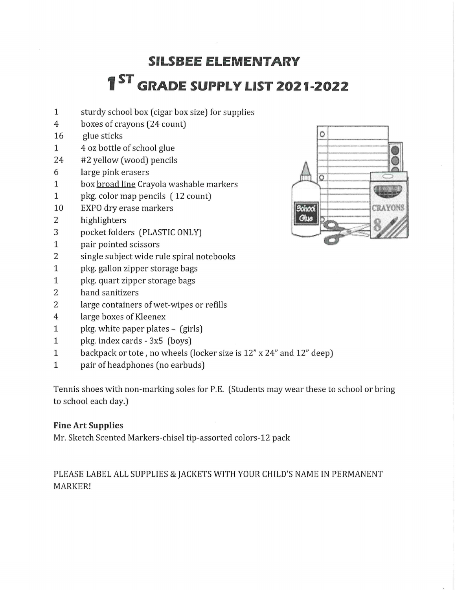# **SILSBEE ELEMENTARY 1ST GRADE SUPPLY LIST 2021-2022**

- $\mathbf{1}$ sturdy school box (cigar box size) for supplies
- boxes of crayons (24 count)  $\overline{4}$
- glue sticks 16
- 4 oz bottle of school glue  $\mathbf{1}$
- 24 #2 yellow (wood) pencils
- 6 large pink erasers
- box broad line Crayola washable markers  $\mathbf{1}$
- $\mathbf{1}$ pkg. color map pencils (12 count)
- 10 EXPO dry erase markers
- $\overline{2}$ highlighters
- pocket folders (PLASTIC ONLY) 3
- $\mathbf{1}$ pair pointed scissors
- $\overline{2}$ single subject wide rule spiral notebooks
- $\mathbf{1}$ pkg. gallon zipper storage bags
- pkg. quart zipper storage bags  $\mathbf{1}$
- $\overline{2}$ hand sanitizers
- $\overline{2}$ large containers of wet-wipes or refills
- $\overline{4}$ large boxes of Kleenex
- $\mathbf{1}$ pkg. white paper plates - (girls)
- $\mathbf{1}$ pkg. index cards - 3x5 (boys)
- $\mathbf{1}$ backpack or tote, no wheels (locker size is 12" x 24" and 12" deep)
- $\mathbf{1}$ pair of headphones (no earbuds)

Tennis shoes with non-marking soles for P.E. (Students may wear these to school or bring to school each day.)

## **Fine Art Supplies**

Mr. Sketch Scented Markers-chisel tip-assorted colors-12 pack

## PLEASE LABEL ALL SUPPLIES & JACKETS WITH YOUR CHILD'S NAME IN PERMANENT MARKER!

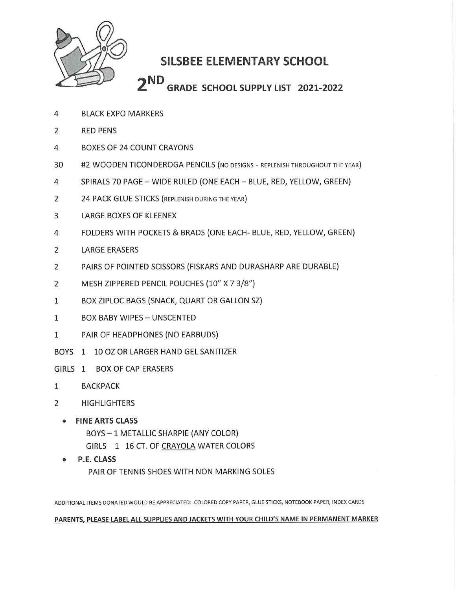

# **SILSBEE ELEMENTARY SCHOOL**

 $2<sub>ND</sub>$ **GRADE SCHOOL SUPPLY LIST 2021-2022** 

- **BLACK EXPO MARKERS**  $\overline{4}$
- $\overline{2}$ **RED PENS**
- **BOXES OF 24 COUNT CRAYONS** 4
- 30 #2 WOODEN TICONDEROGA PENCILS (NO DESIGNS - REPLENISH THROUGHOUT THE YEAR)
- $\overline{4}$ SPIRALS 70 PAGE - WIDE RULED (ONE EACH - BLUE, RED, YELLOW, GREEN)
- $\overline{2}$ 24 PACK GLUE STICKS (REPLENISH DURING THE YEAR)
- LARGE BOXES OF KLEENEX 3
- FOLDERS WITH POCKETS & BRADS (ONE EACH- BLUE, RED, YELLOW, GREEN) 4
- $\overline{2}$ **LARGE ERASERS**
- PAIRS OF POINTED SCISSORS (FISKARS AND DURASHARP ARE DURABLE)  $\overline{2}$
- $\overline{2}$ MESH ZIPPERED PENCIL POUCHES (10" X 7 3/8")
- BOX ZIPLOC BAGS (SNACK, QUART OR GALLON SZ)  $\mathbf{1}$
- **BOX BABY WIPES UNSCENTED**  $\mathbf{1}$
- $\mathbf{1}$ PAIR OF HEADPHONES (NO EARBUDS)
- BOYS 1 10 OZ OR LARGER HAND GEL SANITIZER
- GIRLS 1 BOX OF CAP ERASERS
- $\mathbf{1}$ **BACKPACK**
- $\overline{2}$ **HIGHLIGHTERS** 
	- FINE ARTS CLASS BOYS - 1 METALLIC SHARPIE (ANY COLOR) GIRLS 1 16 CT. OF CRAYOLA WATER COLORS
	- **P.E. CLASS** PAIR OF TENNIS SHOES WITH NON MARKING SOLES

ADDITIONAL ITEMS DONATED WOULD BE APPRECIATED: COLORED COPY PAPER, GLUE STICKS, NOTEBOOK PAPER, INDEX CARDS

#### PARENTS, PLEASE LABEL ALL SUPPLIES AND JACKETS WITH YOUR CHILD'S NAME IN PERMANENT MARKER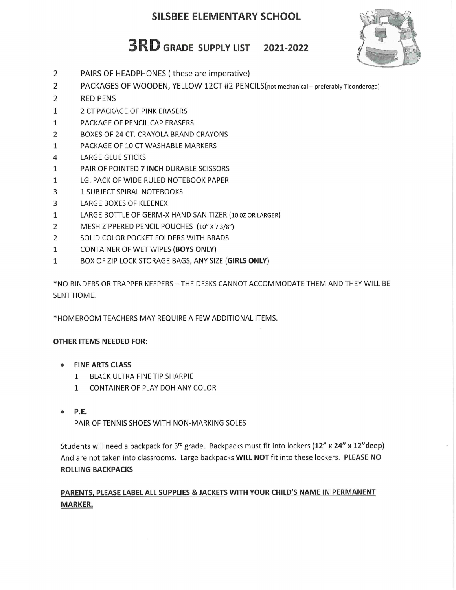## **SILSBEE ELEMENTARY SCHOOL**

# **3RD** GRADE SUPPLY LIST 2021-2022



- $\overline{2}$ PAIRS OF HEADPHONES (these are imperative)
- $\overline{2}$ PACKAGES OF WOODEN, YELLOW 12CT #2 PENCILS(not mechanical - preferably Ticonderoga)
- $\overline{2}$ **RED PENS**
- $\mathbf{1}$ 2 CT PACKAGE OF PINK ERASERS
- PACKAGE OF PENCIL CAP ERASERS  $\mathbf{1}$
- $\overline{2}$ BOXES OF 24 CT. CRAYOLA BRAND CRAYONS
- $\mathbf{1}$ PACKAGE OF 10 CT WASHABLE MARKERS
- 4 **LARGE GLUE STICKS**
- PAIR OF POINTED 7 INCH DURABLE SCISSORS  $\mathbf{1}$
- $\mathbf{1}$ LG. PACK OF WIDE RULED NOTEBOOK PAPER
- 3 1 SUBJECT SPIRAL NOTEBOOKS
- 3 LARGE BOXES OF KLEENEX
- $\mathbf{1}$ LARGE BOTTLE OF GERM-X HAND SANITIZER (10 0Z OR LARGER)
- $\overline{2}$ MESH ZIPPERED PENCIL POUCHES (10" X 7 3/8")
- $\overline{2}$ SOLID COLOR POCKET FOLDERS WITH BRADS
- CONTAINER OF WET WIPES (BOYS ONLY)  $\mathbf{1}$
- BOX OF ZIP LOCK STORAGE BAGS, ANY SIZE (GIRLS ONLY)  $\mathbf{1}$

\*NO BINDERS OR TRAPPER KEEPERS - THE DESKS CANNOT ACCOMMODATE THEM AND THEY WILL BE SENT HOME.

\*HOMEROOM TEACHERS MAY REQUIRE A FEW ADDITIONAL ITEMS.

### **OTHER ITEMS NEEDED FOR:**

- **FINE ARTS CLASS** 
	- $\mathbf{1}$ BLACK ULTRA FINE TIP SHARPIE
	- $\mathbf{1}$ CONTAINER OF PLAY DOH ANY COLOR
- P.E.

PAIR OF TENNIS SHOES WITH NON-MARKING SOLES

Students will need a backpack for 3<sup>rd</sup> grade. Backpacks must fit into lockers (12" x 24" x 12"deep) And are not taken into classrooms. Large backpacks WILL NOT fit into these lockers. PLEASE NO **ROLLING BACKPACKS** 

## PARENTS, PLEASE LABEL ALL SUPPLIES & JACKETS WITH YOUR CHILD'S NAME IN PERMANENT **MARKER.**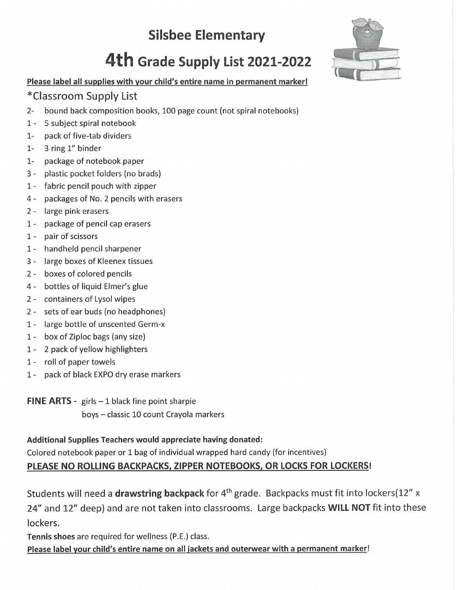# **Silsbee Elementary**

# 4th Grade Supply List 2021-2022



## Please label all supplies with your child's entire name in permanent marker!

## \*Classroom Supply List

- bound back composition books, 100 page count (not spiral notebooks)  $2 -$
- $1 -$ 5 subject spiral notebook
- pack of five-tab dividers  $1-$
- $1-$ 3 ring 1" binder
- package of notebook paper  $1-$
- $3$ plastic pocket folders (no brads)
- 1 fabric pencil pouch with zipper
- 4 packages of No. 2 pencils with erasers
- 2 large pink erasers
- 1 package of pencil cap erasers
- 1 pair of scissors
- 1 handheld pencil sharpener
- 3 large boxes of Kleenex tissues
- 2 boxes of colored pencils
- 4 bottles of liquid Elmer's glue
- 2 containers of Lysol wipes
- 2 sets of ear buds (no headphones)
- 1 large bottle of unscented Germ-x
- 1 box of Ziploc bags (any size)
- 1 2 pack of yellow highlighters
- 1 roll of paper towels
- $1$ pack of black EXPO dry erase markers

**FINE ARTS** - girls  $-1$  black fine point sharpie

boys - classic 10 count Crayola markers

Additional Supplies Teachers would appreciate having donated:

Colored notebook paper or 1 bag of individual wrapped hard candy (for incentives)

## PLEASE NO ROLLING BACKPACKS, ZIPPER NOTEBOOKS, OR LOCKS FOR LOCKERS!

Students will need a drawstring backpack for 4<sup>th</sup> grade. Backpacks must fit into lockers(12" x 24" and 12" deep) and are not taken into classrooms. Large backpacks WILL NOT fit into these lockers.

Tennis shoes are required for wellness (P.E.) class.

Please label your child's entire name on all jackets and outerwear with a permanent marker!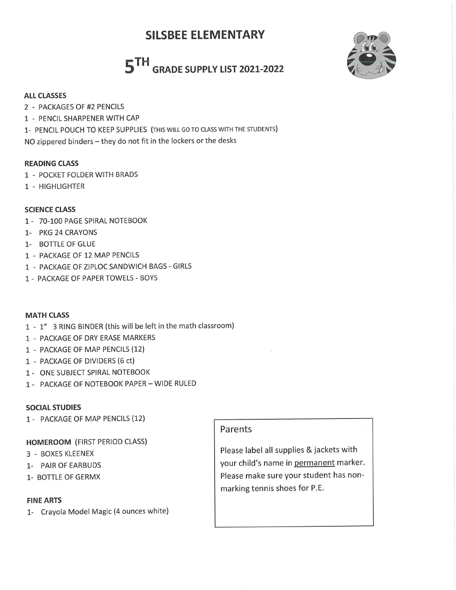# **SILSBEE ELEMENTARY**

# 5TH GRADE SUPPLY LIST 2021-2022



#### **ALL CLASSES**

- 2 PACKAGES OF #2 PENCILS
- 1 PENCIL SHARPENER WITH CAP
- 1- PENCIL POUCH TO KEEP SUPPLIES (THIS WILL GO TO CLASS WITH THE STUDENTS)

NO zippered binders - they do not fit in the lockers or the desks

#### **READING CLASS**

- 1 POCKET FOLDER WITH BRADS
- 1 HIGHLIGHTER

### **SCIENCE CLASS**

- 1 70-100 PAGE SPIRAL NOTEBOOK
- 1- PKG 24 CRAYONS
- 1- BOTTLE OF GLUE
- 1 PACKAGE OF 12 MAP PENCILS
- 1 PACKAGE OF ZIPLOC SANDWICH BAGS GIRLS
- 1 PACKAGE OF PAPER TOWELS BOYS

### **MATH CLASS**

- 1 1" 3 RING BINDER (this will be left in the math classroom)
- 1 PACKAGE OF DRY ERASE MARKERS
- 1 PACKAGE OF MAP PENCILS (12)
- 1 PACKAGE OF DIVIDERS (6 ct)
- 1 ONE SUBJECT SPIRAL NOTEBOOK
- 1 PACKAGE OF NOTEBOOK PAPER WIDE RULED

### **SOCIAL STUDIES**

1 - PACKAGE OF MAP PENCILS (12)

### **HOMEROOM (FIRST PERIOD CLASS)**

- 3 BOXES KLEENEX
- 1- PAIR OF EARBUDS
- 1- BOTTLE OF GERMX

#### **FINE ARTS**

1- Crayola Model Magic (4 ounces white)

### Parents

Please label all supplies & jackets with your child's name in permanent marker. Please make sure your student has nonmarking tennis shoes for P.E.